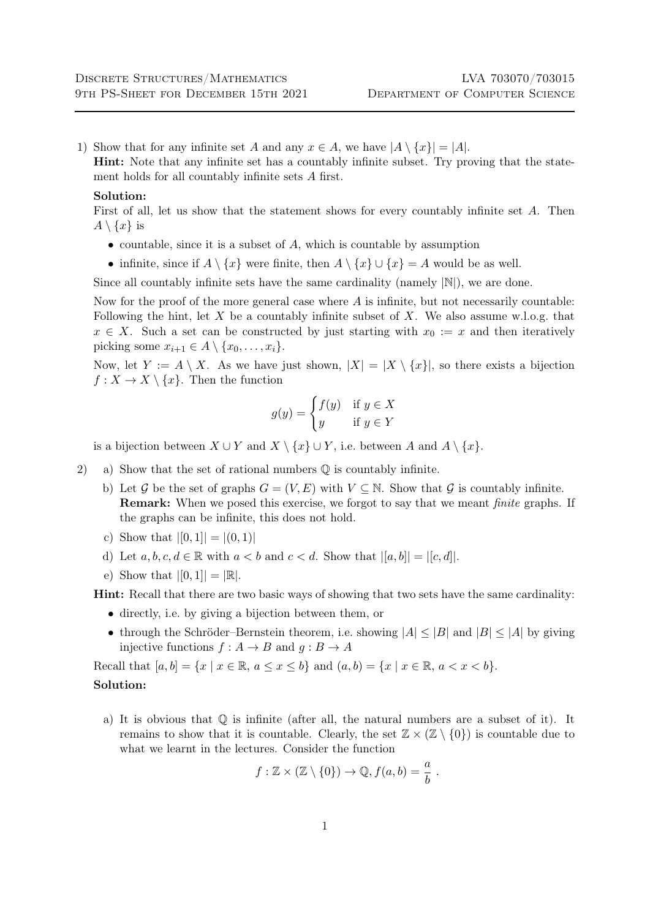1) Show that for any infinite set A and any  $x \in A$ , we have  $|A \setminus \{x\}| = |A|$ .

Hint: Note that any infinite set has a countably infinite subset. Try proving that the statement holds for all countably infinite sets A first.

## Solution:

First of all, let us show that the statement shows for every countably infinite set A. Then  $A \setminus \{x\}$  is

- countable, since it is a subset of  $A$ , which is countable by assumption
- infinite, since if  $A \setminus \{x\}$  were finite, then  $A \setminus \{x\} \cup \{x\} = A$  would be as well.

Since all countably infinite sets have the same cardinality (namely  $|\mathbb{N}|$ ), we are done.

Now for the proof of the more general case where  $A$  is infinite, but not necessarily countable: Following the hint, let X be a countably infinite subset of X. We also assume w.l.o.g. that  $x \in X$ . Such a set can be constructed by just starting with  $x_0 := x$  and then iteratively picking some  $x_{i+1} \in A \setminus \{x_0, \ldots, x_i\}.$ 

Now, let  $Y := A \setminus X$ . As we have just shown,  $|X| = |X \setminus \{x\}|$ , so there exists a bijection  $f: X \to X \setminus \{x\}$ . Then the function

$$
g(y) = \begin{cases} f(y) & \text{if } y \in X \\ y & \text{if } y \in Y \end{cases}
$$

is a bijection between  $X \cup Y$  and  $X \setminus \{x\} \cup Y$ , i.e. between A and  $A \setminus \{x\}$ .

- 2) a) Show that the set of rational numbers Q is countably infinite.
	- b) Let G be the set of graphs  $G = (V, E)$  with  $V \subseteq N$ . Show that G is countably infinite. **Remark:** When we posed this exercise, we forgot to say that we meant *finite* graphs. If the graphs can be infinite, this does not hold.
	- c) Show that  $|[0, 1]| = |(0, 1)|$
	- d) Let  $a, b, c, d \in \mathbb{R}$  with  $a < b$  and  $c < d$ . Show that  $|[a, b]| = |[c, d]|$ .
	- e) Show that  $|[0,1]| = |\mathbb{R}|$ .

Hint: Recall that there are two basic ways of showing that two sets have the same cardinality:

- directly, i.e. by giving a bijection between them, or
- through the Schröder–Bernstein theorem, i.e. showing  $|A| \leq |B|$  and  $|B| \leq |A|$  by giving injective functions  $f : A \to B$  and  $g : B \to A$

Recall that  $[a, b] = \{x \mid x \in \mathbb{R}, a \le x \le b\}$  and  $(a, b) = \{x \mid x \in \mathbb{R}, a < x < b\}$ . Solution:

a) It is obvious that  $\mathbb Q$  is infinite (after all, the natural numbers are a subset of it). It remains to show that it is countable. Clearly, the set  $\mathbb{Z} \times (\mathbb{Z} \setminus \{0\})$  is countable due to what we learnt in the lectures. Consider the function

$$
f: \mathbb{Z} \times (\mathbb{Z} \setminus \{0\}) \to \mathbb{Q}, f(a, b) = \frac{a}{b}.
$$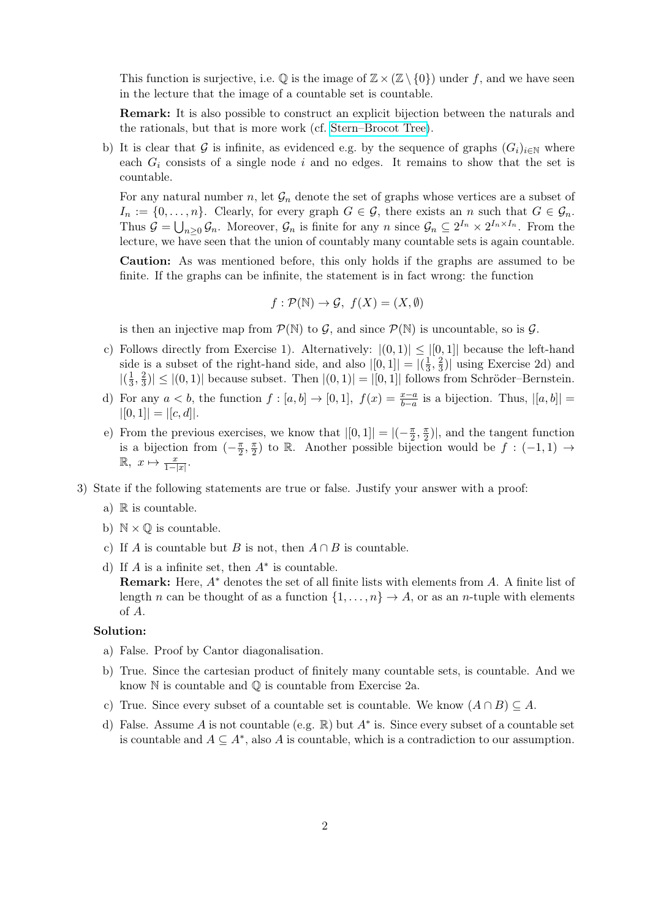This function is surjective, i.e.  $\mathbb{Q}$  is the image of  $\mathbb{Z} \times (\mathbb{Z} \setminus \{0\})$  under f, and we have seen in the lecture that the image of a countable set is countable.

Remark: It is also possible to construct an explicit bijection between the naturals and the rationals, but that is more work (cf. [Stern–Brocot Tree\)](https://en.wikipedia.org/wiki/Stern%E2%80%93Brocot_tree).

b) It is clear that G is infinite, as evidenced e.g. by the sequence of graphs  $(G_i)_{i\in\mathbb{N}}$  where each  $G_i$  consists of a single node i and no edges. It remains to show that the set is countable.

For any natural number n, let  $\mathcal{G}_n$  denote the set of graphs whose vertices are a subset of  $I_n := \{0, \ldots, n\}$ . Clearly, for every graph  $G \in \mathcal{G}$ , there exists an n such that  $G \in \mathcal{G}_n$ . Thus  $\mathcal{G} = \bigcup_{n\geq 0} \mathcal{G}_n$ . Moreover,  $\mathcal{G}_n$  is finite for any n since  $\mathcal{G}_n \subseteq 2^{I_n} \times 2^{I_n \times I_n}$ . From the lecture, we have seen that the union of countably many countable sets is again countable.

Caution: As was mentioned before, this only holds if the graphs are assumed to be finite. If the graphs can be infinite, the statement is in fact wrong: the function

$$
f: \mathcal{P}(\mathbb{N}) \to \mathcal{G}, \ f(X) = (X, \emptyset)
$$

is then an injective map from  $\mathcal{P}(\mathbb{N})$  to  $\mathcal{G}$ , and since  $\mathcal{P}(\mathbb{N})$  is uncountable, so is  $\mathcal{G}$ .

- c) Follows directly from Exercise 1). Alternatively:  $|(0,1)| \leq |[0,1]|$  because the left-hand side is a subset of the right-hand side, and also  $|[0,1]| = |(\frac{1}{3})|$  $\frac{1}{3}, \frac{2}{3}$  $\frac{2}{3}$ | using Exercise 2d) and  $\left| \left( \frac{1}{3} \right) \right|$  $\frac{1}{3}, \frac{2}{3}$  $\left|\frac{2}{3}\right| \leq |(0,1)|$  because subset. Then  $|(0,1)| = |[0,1]|$  follows from Schröder–Bernstein.
- d) For any  $a < b$ , the function  $f : [a, b] \to [0, 1]$ ,  $f(x) = \frac{x-a}{b-a}$  is a bijection. Thus,  $|[a, b]| =$  $|[0, 1]| = |[c, d]|$ .
- e) From the previous exercises, we know that  $|[0,1]| = |(-\frac{\pi}{2})|$  $\frac{\pi}{2}, \frac{\pi}{2}$  $\frac{\pi}{2}$ ), and the tangent function is a bijection from  $\left(-\frac{\pi}{2}\right)$  $\frac{\pi}{2}, \frac{\pi}{2}$  $\frac{\pi}{2}$  to R. Another possible bijection would be  $f : (-1,1) \rightarrow$  $\mathbb{R}, x \mapsto \frac{x}{1-|x|}.$
- 3) State if the following statements are true or false. Justify your answer with a proof:
	- a)  $\mathbb R$  is countable.
	- b)  $\mathbb{N} \times \mathbb{Q}$  is countable.
	- c) If A is countable but B is not, then  $A \cap B$  is countable.
	- d) If  $A$  is a infinite set, then  $A^*$  is countable. **Remark:** Here,  $A^*$  denotes the set of all finite lists with elements from  $A$ . A finite list of length n can be thought of as a function  $\{1, \ldots, n\} \rightarrow A$ , or as an n-tuple with elements of A.

## Solution:

- a) False. Proof by Cantor diagonalisation.
- b) True. Since the cartesian product of finitely many countable sets, is countable. And we know  $\mathbb N$  is countable and  $\mathbb Q$  is countable from Exercise 2a.
- c) True. Since every subset of a countable set is countable. We know  $(A \cap B) \subseteq A$ .
- d) False. Assume A is not countable (e.g.  $\mathbb R$ ) but  $A^*$  is. Since every subset of a countable set is countable and  $A \subseteq A^*$ , also A is countable, which is a contradiction to our assumption.